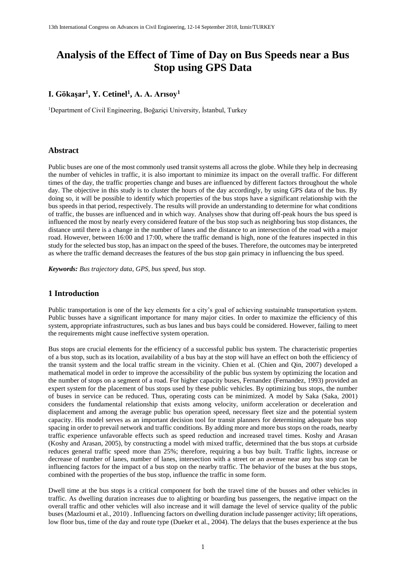# **Analysis of the Effect of Time of Day on Bus Speeds near a Bus Stop using GPS Data**

# **I. Gökaşar<sup>1</sup> , Y. Cetinel<sup>1</sup> , A. A. Arısoy<sup>1</sup>**

<sup>1</sup>Department of Civil Engineering, Boğaziçi University, İstanbul, Turkey

### **Abstract**

Public buses are one of the most commonly used transit systems all across the globe. While they help in decreasing the number of vehicles in traffic, it is also important to minimize its impact on the overall traffic. For different times of the day, the traffic properties change and buses are influenced by different factors throughout the whole day. The objective in this study is to cluster the hours of the day accordingly, by using GPS data of the bus. By doing so, it will be possible to identify which properties of the bus stops have a significant relationship with the bus speeds in that period, respectively. The results will provide an understanding to determine for what conditions of traffic, the busses are influenced and in which way. Analyses show that during off-peak hours the bus speed is influenced the most by nearly every considered feature of the bus stop such as neighboring bus stop distances, the distance until there is a change in the number of lanes and the distance to an intersection of the road with a major road. However, between 16:00 and 17:00, where the traffic demand is high, none of the features inspected in this study for the selected bus stop, has an impact on the speed of the buses. Therefore, the outcomes may be interpreted as where the traffic demand decreases the features of the bus stop gain primacy in influencing the bus speed.

*Keywords: Bus trajectory data, GPS, bus speed, bus stop.*

## **1 Introduction**

Public transportation is one of the key elements for a city's goal of achieving sustainable transportation system. Public busses have a significant importance for many major cities. In order to maximize the efficiency of this system, appropriate infrastructures, such as bus lanes and bus bays could be considered. However, failing to meet the requirements might cause ineffective system operation.

Bus stops are crucial elements for the efficiency of a successful public bus system. The characteristic properties of a bus stop, such as its location, availability of a bus bay at the stop will have an effect on both the efficiency of the transit system and the local traffic stream in the vicinity. Chien et al. (Chien and Qin, 2007) developed a mathematical model in order to improve the accessibility of the public bus system by optimizing the location and the number of stops on a segment of a road. For higher capacity buses, Fernandez (Fernandez, 1993) provided an expert system for the placement of bus stops used by these public vehicles. By optimizing bus stops, the number of buses in service can be reduced. Thus, operating costs can be minimized. A model by Saka (Saka, 2001) considers the fundamental relationship that exists among velocity, uniform acceleration or deceleration and displacement and among the average public bus operation speed, necessary fleet size and the potential system capacity. His model serves as an important decision tool for transit planners for determining adequate bus stop spacing in order to prevail network and traffic conditions. By adding more and more bus stops on the roads, nearby traffic experience unfavorable effects such as speed reduction and increased travel times. Koshy and Arasan (Koshy and Arasan, 2005), by constructing a model with mixed traffic, determined that the bus stops at curbside reduces general traffic speed more than 25%; therefore, requiring a bus bay built. Traffic lights, increase or decrease of number of lanes, number of lanes, intersection with a street or an avenue near any bus stop can be influencing factors for the impact of a bus stop on the nearby traffic. The behavior of the buses at the bus stops, combined with the properties of the bus stop, influence the traffic in some form.

Dwell time at the bus stops is a critical component for both the travel time of the busses and other vehicles in traffic. As dwelling duration increases due to alighting or boarding bus passengers, the negative impact on the overall traffic and other vehicles will also increase and it will damage the level of service quality of the public buses (Mazloumi et al., 2010) . Influencing factors on dwelling duration include passenger activity; lift operations, low floor bus, time of the day and route type (Dueker et al., 2004). The delays that the buses experience at the bus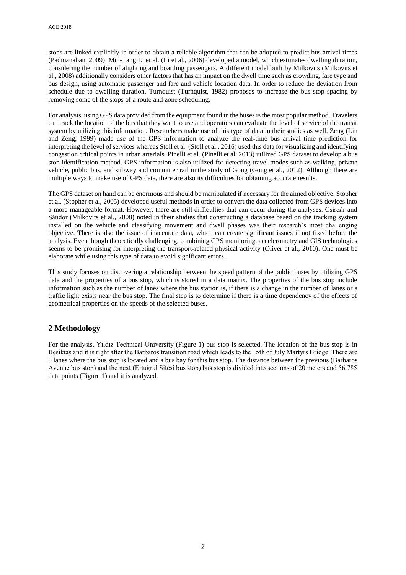stops are linked explicitly in order to obtain a reliable algorithm that can be adopted to predict bus arrival times (Padmanaban, 2009). Min-Tang Li et al. (Li et al., 2006) developed a model, which estimates dwelling duration, considering the number of alighting and boarding passengers. A different model built by Milkovits (Milkovits et al., 2008) additionally considers other factors that has an impact on the dwell time such as crowding, fare type and bus design, using automatic passenger and fare and vehicle location data. In order to reduce the deviation from schedule due to dwelling duration, Turnquist (Turnquist, 1982) proposes to increase the bus stop spacing by removing some of the stops of a route and zone scheduling.

For analysis, using GPS data provided from the equipment found in the buses is the most popular method. Travelers can track the location of the bus that they want to use and operators can evaluate the level of service of the transit system by utilizing this information. Researchers make use of this type of data in their studies as well. Zeng (Lin and Zeng, 1999) made use of the GPS information to analyze the real-time bus arrival time prediction for interpreting the level of services whereas Stoll et al. (Stoll et al., 2016) used this data for visualizing and identifying congestion critical points in urban arterials. Pinelli et al. (Pinelli et al. 2013) utilized GPS dataset to develop a bus stop identification method. GPS information is also utilized for detecting travel modes such as walking, private vehicle, public bus, and subway and commuter rail in the study of Gong (Gong et al., 2012). Although there are multiple ways to make use of GPS data, there are also its difficulties for obtaining accurate results.

The GPS dataset on hand can be enormous and should be manipulated if necessary for the aimed objective. Stopher et al. (Stopher et al, 2005) developed useful methods in order to convert the data collected from GPS devices into a more manageable format. However, there are still difficulties that can occur during the analyses. Csiszár and Sándor (Milkovits et al., 2008) noted in their studies that constructing a database based on the tracking system installed on the vehicle and classifying movement and dwell phases was their research's most challenging objective. There is also the issue of inaccurate data, which can create significant issues if not fixed before the analysis. Even though theoretically challenging, combining GPS monitoring, accelerometry and GIS technologies seems to be promising for interpreting the transport-related physical activity (Oliver et al., 2010). One must be elaborate while using this type of data to avoid significant errors.

This study focuses on discovering a relationship between the speed pattern of the public buses by utilizing GPS data and the properties of a bus stop, which is stored in a data matrix. The properties of the bus stop include information such as the number of lanes where the bus station is, if there is a change in the number of lanes or a traffic light exists near the bus stop. The final step is to determine if there is a time dependency of the effects of geometrical properties on the speeds of the selected buses.

# **2 Methodology**

For the analysis, Yıldız Technical University (Figure 1) bus stop is selected. The location of the bus stop is in Besiktaş and it is right after the Barbaros transition road which leads to the 15th of July Martyrs Bridge. There are 3 lanes where the bus stop is located and a bus bay for this bus stop. The distance between the previous (Barbaros Avenue bus stop) and the next (Ertuğrul Sitesi bus stop) bus stop is divided into sections of 20 meters and 56.785 data points (Figure 1) and it is analyzed.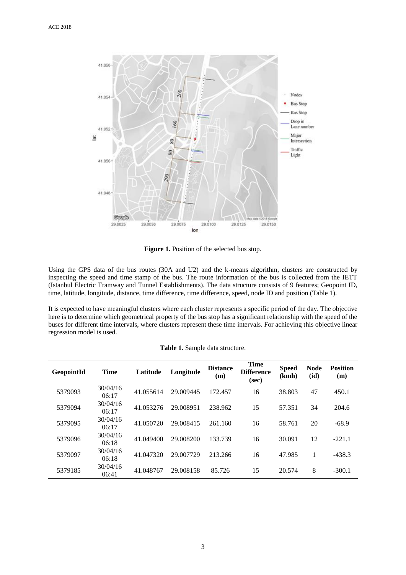

Figure 1. Position of the selected bus stop.

Using the GPS data of the bus routes (30A and U2) and the k-means algorithm, clusters are constructed by inspecting the speed and time stamp of the bus. The route information of the bus is collected from the IETT (Istanbul Electric Tramway and Tunnel Establishments). The data structure consists of 9 features; Geopoint ID, time, latitude, longitude, distance, time difference, time difference, speed, node ID and position (Table 1).

It is expected to have meaningful clusters where each cluster represents a specific period of the day. The objective here is to determine which geometrical property of the bus stop has a significant relationship with the speed of the buses for different time intervals, where clusters represent these time intervals. For achieving this objective linear regression model is used.

| Table 1. Sample data structure. |  |
|---------------------------------|--|
|---------------------------------|--|

| <b>GeopointId</b> | <b>Time</b>       | Latitude  | Longitude | <b>Distance</b><br>(m) | <b>Time</b><br><b>Difference</b><br>(sec) | <b>Speed</b><br>(kmh) | <b>Node</b><br>(id) | <b>Position</b><br>(m) |
|-------------------|-------------------|-----------|-----------|------------------------|-------------------------------------------|-----------------------|---------------------|------------------------|
| 5379093           | 30/04/16<br>06:17 | 41.055614 | 29.009445 | 172.457                | 16                                        | 38.803                | 47                  | 450.1                  |
| 5379094           | 30/04/16<br>06:17 | 41.053276 | 29.008951 | 238.962                | 15                                        | 57.351                | 34                  | 204.6                  |
| 5379095           | 30/04/16<br>06:17 | 41.050720 | 29.008415 | 261.160                | 16                                        | 58.761                | 20                  | $-68.9$                |
| 5379096           | 30/04/16<br>06:18 | 41.049400 | 29.008200 | 133.739                | 16                                        | 30.091                | 12                  | $-221.1$               |
| 5379097           | 30/04/16<br>06:18 | 41.047320 | 29.007729 | 213.266                | 16                                        | 47.985                | 1                   | $-438.3$               |
| 5379185           | 30/04/16<br>06:41 | 41.048767 | 29.008158 | 85.726                 | 15                                        | 20.574                | 8                   | $-300.1$               |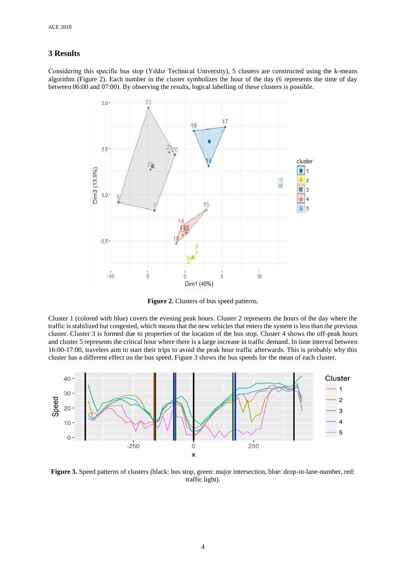# **3 Results**

Considering this specific bus stop (Yıldız Technical University), 5 clusters are constructed using the k-means algorithm (Figure 2). Each number in the cluster symbolizes the hour of the day (6 represents the time of day between 06:00 and 07:00). By observing the results, logical labelling of these clusters is possible.



**Figure 2.** Clusters of bus speed patterns.

Cluster 1 (colored with blue) covers the evening peak hours. Cluster 2 represents the hours of the day where the traffic is stabilized but congested, which means that the new vehicles that enters the system is less than the previous cluster. Cluster 3 is formed due to properties of the location of the bus stop. Cluster 4 shows the off-peak hours and cluster 5 represents the critical hour where there is a large increase in traffic demand. In time interval between 16:00-17:00, travelers aim to start their trips to avoid the peak hour traffic afterwards. This is probably why this cluster has a different effect on the bus speed. Figure 3 shows the bus speeds for the mean of each cluster.



**Figure 3.** Speed patterns of clusters (black: bus stop, green: major intersection, blue: drop-in-lane-number, red: traffic light).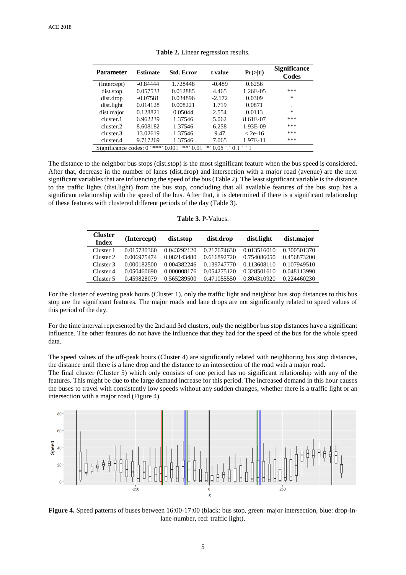| <b>Parameter</b>                                                                       | <b>Estimate</b> | <b>Std. Error</b> | t value  | Pr(> t )  | <b>Significance</b><br>Codes |
|----------------------------------------------------------------------------------------|-----------------|-------------------|----------|-----------|------------------------------|
| (Intercept)                                                                            | $-0.84444$      | 1.728448          | $-0.489$ | 0.6256    |                              |
| dist.stop                                                                              | 0.057533        | 0.012885          | 4.465    | 1.26E-05  | ***                          |
| dist.drop                                                                              | $-0.07581$      | 0.034896          | $-2.172$ | 0.0309    | $\ast$                       |
| dist.light                                                                             | 0.014128        | 0.008221          | 1.719    | 0.0871    | ٠                            |
| dist.major                                                                             | 0.128821        | 0.05044           | 2.554    | 0.0113    | $\ast$                       |
| cluster.1                                                                              | 6.962239        | 1.37546           | 5.062    | 8.61E-07  | ***                          |
| cluster.2                                                                              | 8.608182        | 1.37546           | 6.258    | 1.93E-09  | ***                          |
| cluster.3                                                                              | 13.02619        | 1.37546           | 9.47     | $<$ 2e-16 | ***                          |
| cluster.4                                                                              | 9.717269        | 1.37546           | 7.065    | 1.97E-11  | ***                          |
| Significance codes: 0 '***'<br>$***$<br>$4*2$<br>$0.05$ $\degree$ 0.1<br>0.001<br>0.01 |                 |                   |          |           |                              |

**Table 2.** Linear regression results.

The distance to the neighbor bus stops (dist.stop) is the most significant feature when the bus speed is considered. After that, decrease in the number of lanes (dist.drop) and intersection with a major road (avenue) are the next significant variables that are influencing the speed of the bus (Table 2). The least significant variable is the distance to the traffic lights (dist.light) from the bus stop, concluding that all available features of the bus stop has a significant relationship with the speed of the bus. After that, it is determined if there is a significant relationship of these features with clustered different periods of the day (Table 3).

|  | <b>Table 3. P-Values.</b> |
|--|---------------------------|
|--|---------------------------|

| <b>Cluster</b><br><b>Index</b> | (Intercept) | dist.stop   | dist.drop   | dist.light  | dist.major  |
|--------------------------------|-------------|-------------|-------------|-------------|-------------|
| Cluster 1                      | 0.015730360 | 0.043292120 | 0.217674630 | 0.013516010 | 0.300501370 |
| Cluster 2                      | 0.006975474 | 0.082143480 | 0.616892720 | 0.754086050 | 0.456873200 |
| Cluster 3                      | 0.000182500 | 0.004382246 | 0.139747770 | 0.113608110 | 0.107949510 |
| Cluster 4                      | 0.050460690 | 0.000008176 | 0.054275120 | 0.328501610 | 0.048113990 |
| Cluster 5                      | 0.459828079 | 0.565289500 | 0.471055550 | 0.804310920 | 0.224460230 |

For the cluster of evening peak hours (Cluster 1), only the traffic light and neighbor bus stop distances to this bus stop are the significant features. The major roads and lane drops are not significantly related to speed values of this period of the day.

For the time interval represented by the 2nd and 3rd clusters, only the neighbor bus stop distances have a significant influence. The other features do not have the influence that they had for the speed of the bus for the whole speed data.

The speed values of the off-peak hours (Cluster 4) are significantly related with neighboring bus stop distances, the distance until there is a lane drop and the distance to an intersection of the road with a major road.

The final cluster (Cluster 5) which only consists of one period has no significant relationship with any of the features. This might be due to the large demand increase for this period. The increased demand in this hour causes the buses to travel with consistently low speeds without any sudden changes, whether there is a traffic light or an intersection with a major road (Figure 4).



**Figure 4.** Speed patterns of buses between 16:00-17:00 (black: bus stop, green: major intersection, blue: drop-inlane-number, red: traffic light).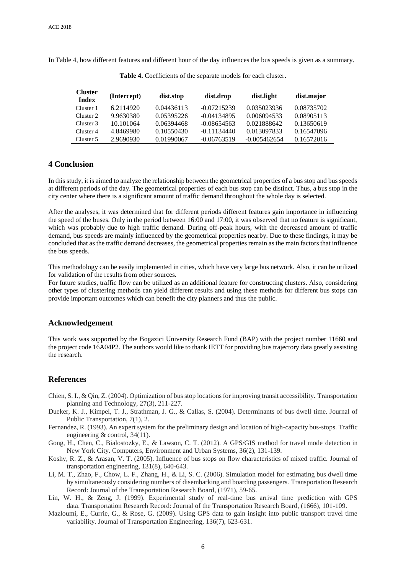In Table 4, how different features and different hour of the day influences the bus speeds is given as a summary.

| Cluster<br><b>Index</b> | (Intercept) | dist.stop  | dist.drop     | dist.light     | dist.major |
|-------------------------|-------------|------------|---------------|----------------|------------|
| Cluster 1               | 6.2114920   | 0.04436113 | $-0.07215239$ | 0.035023936    | 0.08735702 |
| Cluster 2               | 9.9630380   | 0.05395226 | $-0.04134895$ | 0.006094533    | 0.08905113 |
| Cluster 3               | 10.101064   | 0.06394468 | $-0.08654563$ | 0.021888642    | 0.13650619 |
| Cluster 4               | 4.8469980   | 0.10550430 | $-0.11134440$ | 0.013097833    | 0.16547096 |
| Cluster 5               | 2.9690930   | 0.01990067 | $-0.06763519$ | $-0.005462654$ | 0.16572016 |

**Table 4.** Coefficients of the separate models for each cluster.

# **4 Conclusion**

In this study, it is aimed to analyze the relationship between the geometrical properties of a bus stop and bus speeds at different periods of the day. The geometrical properties of each bus stop can be distinct. Thus, a bus stop in the city center where there is a significant amount of traffic demand throughout the whole day is selected.

After the analyses, it was determined that for different periods different features gain importance in influencing the speed of the buses. Only in the period between 16:00 and 17:00, it was observed that no feature is significant, which was probably due to high traffic demand. During off-peak hours, with the decreased amount of traffic demand, bus speeds are mainly influenced by the geometrical properties nearby. Due to these findings, it may be concluded that as the traffic demand decreases, the geometrical properties remain as the main factors that influence the bus speeds.

This methodology can be easily implemented in cities, which have very large bus network. Also, it can be utilized for validation of the results from other sources.

For future studies, traffic flow can be utilized as an additional feature for constructing clusters. Also, considering other types of clustering methods can yield different results and using these methods for different bus stops can provide important outcomes which can benefit the city planners and thus the public.

#### **Acknowledgement**

This work was supported by the Bogazici University Research Fund (BAP) with the project number 11660 and the project code 16A04P2. The authors would like to thank IETT for providing bus trajectory data greatly assisting the research.

#### **References**

- Chien, S. I., & Qin, Z. (2004). Optimization of bus stop locations for improving transit accessibility. Transportation planning and Technology, 27(3), 211-227.
- Dueker, K. J., Kimpel, T. J., Strathman, J. G., & Callas, S. (2004). Determinants of bus dwell time. Journal of Public Transportation, 7(1), 2.
- Fernandez, R. (1993). An expert system for the preliminary design and location of high-capacity bus-stops. Traffic engineering & control, 34(11).
- Gong, H., Chen, C., Bialostozky, E., & Lawson, C. T. (2012). A GPS/GIS method for travel mode detection in New York City. Computers, Environment and Urban Systems, 36(2), 131-139.
- Koshy, R. Z., & Arasan, V. T. (2005). Influence of bus stops on flow characteristics of mixed traffic. Journal of transportation engineering, 131(8), 640-643.
- Li, M. T., Zhao, F., Chow, L. F., Zhang, H., & Li, S. C. (2006). Simulation model for estimating bus dwell time by simultaneously considering numbers of disembarking and boarding passengers. Transportation Research Record: Journal of the Transportation Research Board, (1971), 59-65.
- Lin, W. H., & Zeng, J. (1999). Experimental study of real-time bus arrival time prediction with GPS data. Transportation Research Record: Journal of the Transportation Research Board, (1666), 101-109.
- Mazloumi, E., Currie, G., & Rose, G. (2009). Using GPS data to gain insight into public transport travel time variability. Journal of Transportation Engineering, 136(7), 623-631.